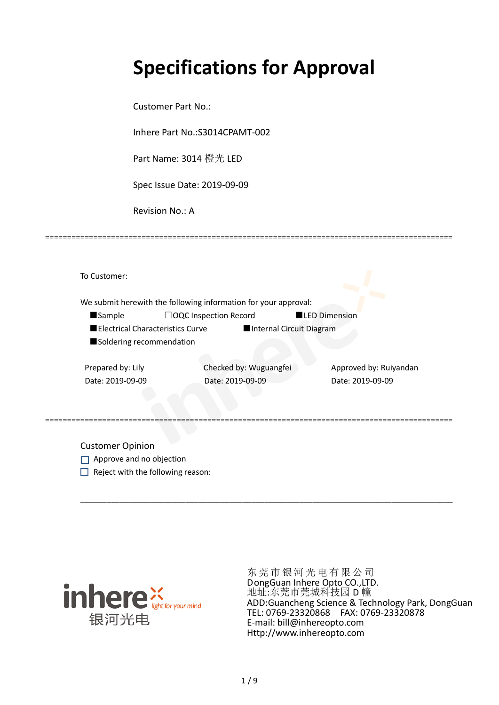# **Specifications for Approval**

Customer Part No.:

Inhere Part No.:S3014CPAMT-002

Part Name: 3014 橙光 LED

Spec Issue Date: 2019-09-09

Revision No.: A

|                   |                                  | We submit herewith the following information for your approval: |                        |  |
|-------------------|----------------------------------|-----------------------------------------------------------------|------------------------|--|
| <b>Sample</b>     |                                  | $\Box$ OQC Inspection Record                                    | <b>LED Dimension</b>   |  |
|                   | Electrical Characteristics Curve | Internal Circuit Diagram                                        |                        |  |
|                   | Soldering recommendation         |                                                                 |                        |  |
|                   |                                  |                                                                 |                        |  |
|                   |                                  | Checked by: Wuguangfei                                          | Approved by: Ruiyandan |  |
| Prepared by: Lily |                                  |                                                                 |                        |  |

\_\_\_\_\_\_\_\_\_\_\_\_\_\_\_\_\_\_\_\_\_\_\_\_\_\_\_\_\_\_\_\_\_\_\_\_\_\_\_\_\_\_\_\_\_\_\_\_\_\_\_\_\_\_\_\_\_\_\_\_\_\_\_\_\_\_\_\_\_\_\_\_\_\_\_\_\_\_\_\_\_\_\_\_\_

=============================================================================================

Customer Opinion

- Approve and no objection
- $\Box$  Reject with the following reason:



东莞市银河光电有限公司 DongGuan Inhere Opto CO.,LTD. 地址:东莞市莞城科技园 D 幢 ADD:Guancheng Science & Technology Park, DongGuan TEL: 0769-23320868 FAX: 0769-23320878 E-mail: bill@inhereopto.com Http://www.inhereopto.com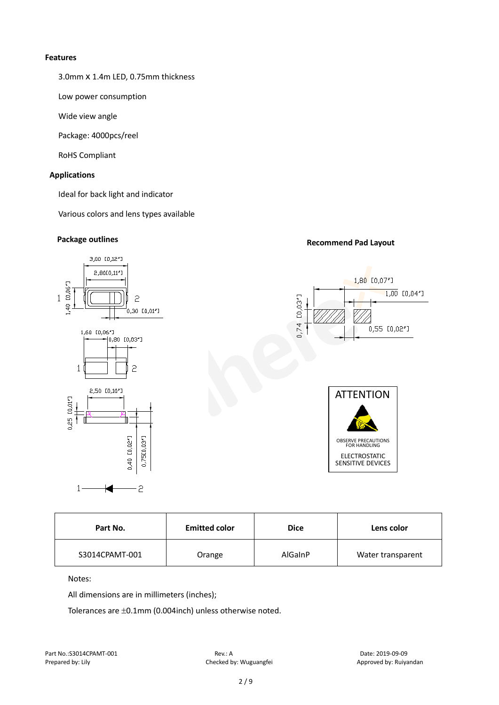#### **Features**

3.0mmⅹ1.4m LED, 0.75mm thickness

Low power consumption

Wide view angle

Package: 4000pcs/reel

RoHS Compliant

#### **Applications**

Ideal for back light and indicator

Various colors and lens types available

### **Package outlines Recommend Pad Layout**



| Part No.       | <b>Emitted color</b> | <b>Dice</b> | Lens color        |
|----------------|----------------------|-------------|-------------------|
| S3014CPAMT-001 | Orange               | AlGaInP     | Water transparent |

Notes:

All dimensions are in millimeters (inches);

Tolerances are ±0.1mm (0.004inch) unless otherwise noted.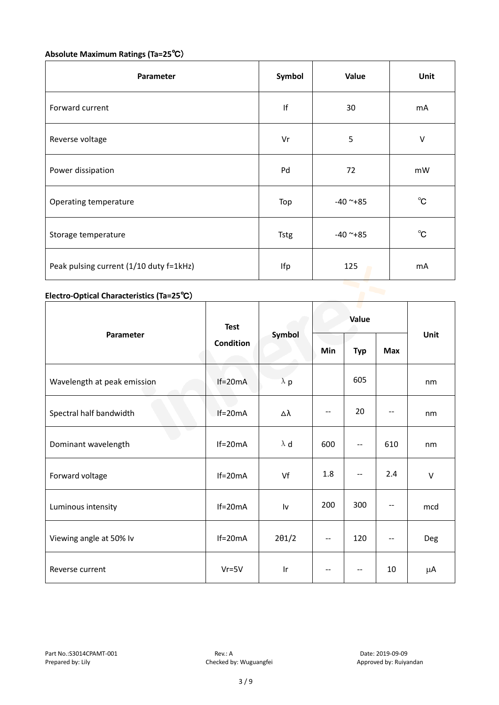#### **Absolute Maximum Ratings (Ta=25**℃)

| Parameter                               | Symbol   | Value      |              |
|-----------------------------------------|----------|------------|--------------|
| Forward current                         | f <br>30 |            | mA           |
| Reverse voltage                         | Vr       | 5          | $\vee$       |
| Power dissipation                       | Pd       | 72         | mW           |
| Operating temperature                   | Top      | $-40$ ~+85 | $^{\circ}$ C |
| Storage temperature                     | Tstg     | $-40$ ~+85 | $^{\circ}C$  |
| Peak pulsing current (1/10 duty f=1kHz) | Ifp      | 125        | mA           |

#### **Electro-Optical Characteristics (Ta=25**℃)

|                             | <b>Test</b><br><b>Condition</b> | Symbol        | Value             |                          |            |        |
|-----------------------------|---------------------------------|---------------|-------------------|--------------------------|------------|--------|
| Parameter                   |                                 |               | Min               | <b>Typ</b>               | <b>Max</b> | Unit   |
| Wavelength at peak emission | $If=20mA$                       | $\lambda$ p   |                   | 605                      |            | nm     |
| Spectral half bandwidth     | $If=20mA$                       | Δλ            | $\qquad \qquad -$ | 20                       |            | nm     |
| Dominant wavelength         | $If=20mA$                       | $\lambda$ d   | 600               | --                       | 610        | nm     |
| Forward voltage             | $If=20mA$                       | Vf            | 1.8               | --                       | 2.4        | $\vee$ |
| Luminous intensity          | $If=20mA$                       | Iv            | 200               | 300                      |            | mcd    |
| Viewing angle at 50% lv     | $If=20mA$                       | $2\theta$ 1/2 | --                | 120                      | $-$        | Deg    |
| Reverse current             | $Vr = 5V$                       | Ir            | $-$               | $\overline{\phantom{m}}$ | 10         | μA     |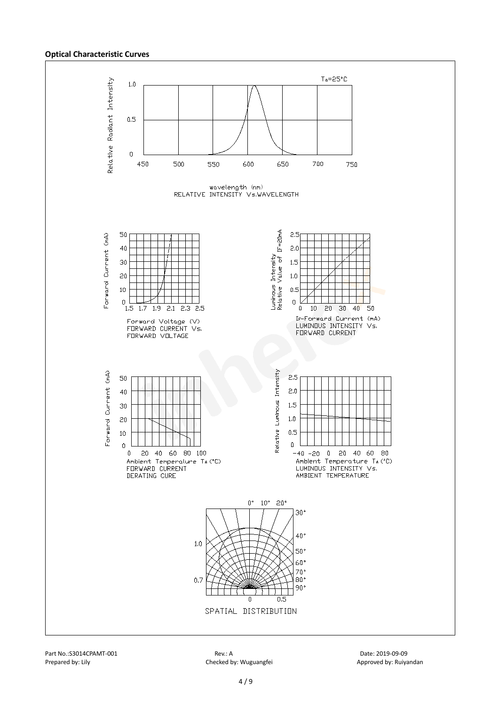#### **Optical Characteristic Curves**



Part No.:S3014CPAMT-001 Rev.: A Date: 2019-09-09

Prepared by: Lily Checked by: Wuguangfei Approved by: Ruiyandan Approved by: Ruiyandan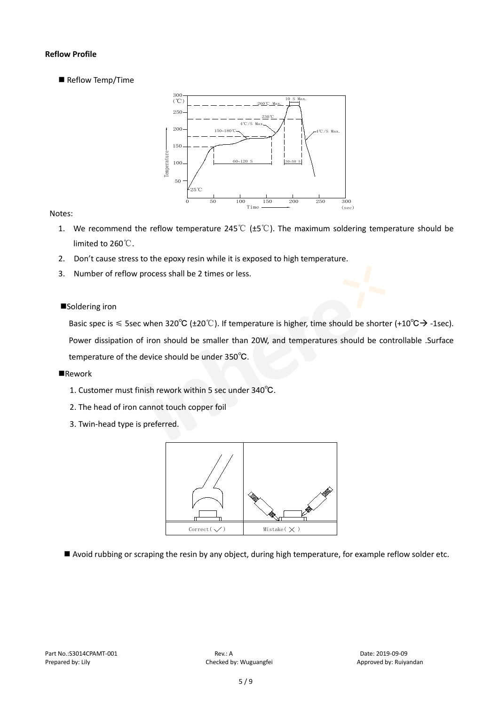#### **Reflow Profile**

Reflow Temp/Time



#### Notes:

- 1. We recommend the reflow temperature 245℃ (±5℃). The maximum soldering temperature should be limited to 260℃.
- 2. Don't cause stress to the epoxy resin while it is exposed to high temperature.
- 3. Number of reflow process shall be 2 times or less.

#### ■Soldering iron

Basic spec is  $\leq$  5sec when 320°C (±20°C). If temperature is higher, time should be shorter (+10°C $\rightarrow$ -1sec). Power dissipation of iron should be smaller than 20W, and temperatures should be controllable .Surface temperature of the device should be under 350℃.

#### **Rework**

- 1. Customer must finish rework within 5 sec under 340℃.
- 2. The head of iron cannot touch copper foil
- 3. Twin-head type is preferred.



Avoid rubbing or scraping the resin by any object, during high temperature, for example reflow solder etc.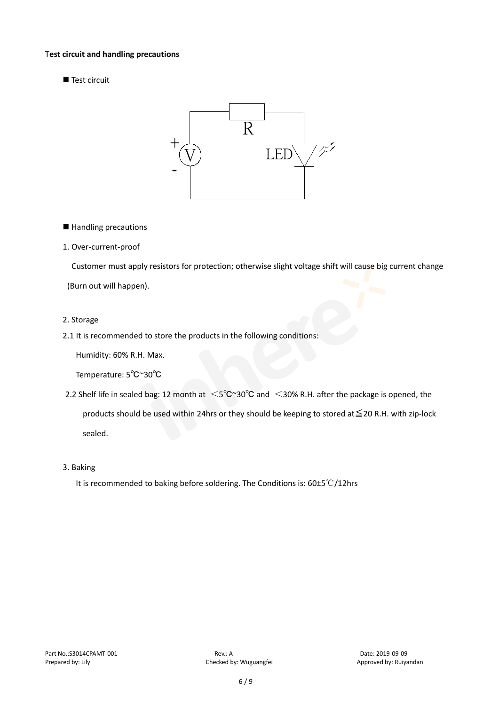#### T**est circuit and handling precautions**

Test circuit



■ Handling precautions

#### 1. Over-current-proof

Customer must apply resistors for protection; otherwise slight voltage shift will cause big current change

(Burn out will happen).

#### 2. Storage

#### 2.1 It is recommended to store the products in the following conditions:

Humidity: 60% R.H. Max.

Temperature: 5℃~30℃

- 2.2 Shelf life in sealed bag: 12 month at <5℃~30°C and <30% R.H. after the package is opened, the products should be used within 24hrs or they should be keeping to stored at≦20 R.H. with zip-lock sealed.
- 3. Baking

It is recommended to baking before soldering. The Conditions is: 60±5℃/12hrs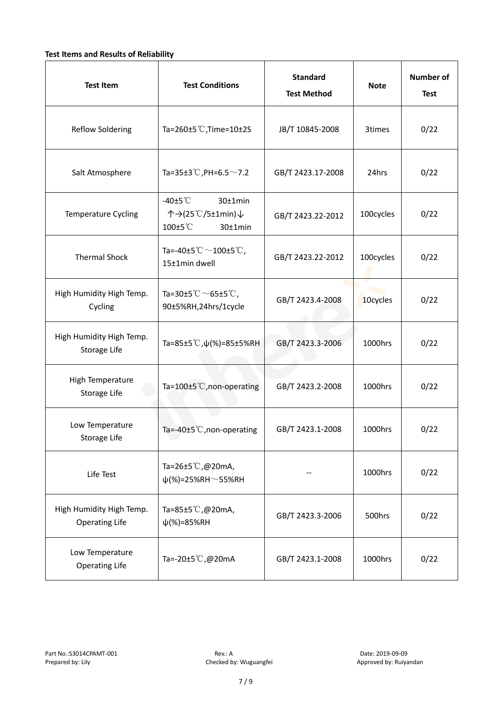#### **Test Items and Results of Reliability**

| <b>Test Item</b>                                  | <b>Test Conditions</b>                                                         | <b>Standard</b><br><b>Test Method</b> | <b>Note</b> | <b>Number of</b><br><b>Test</b> |
|---------------------------------------------------|--------------------------------------------------------------------------------|---------------------------------------|-------------|---------------------------------|
| <b>Reflow Soldering</b>                           | Ta=260 $\pm$ 5 °C, Time=10 $\pm$ 2S                                            | JB/T 10845-2008                       | 3times      | 0/22                            |
| Salt Atmosphere                                   | Ta=35±3°C, PH=6.5 $\sim$ 7.2                                                   | GB/T 2423.17-2008                     | 24hrs       | 0/22                            |
| Temperature Cycling                               | -40 $±5^{\circ}$ C<br>$30±1$ min<br>个→(25℃/5±1min)↓<br>100±5°C<br>$30±1$ min   | GB/T 2423.22-2012                     | 100cycles   | 0/22                            |
| <b>Thermal Shock</b>                              | Ta=-40±5 $\degree \text{C}$ $\sim$ 100±5 $\degree \text{C}$ ,<br>15±1min dwell | GB/T 2423.22-2012                     | 100cycles   | 0/22                            |
| High Humidity High Temp.<br>Cycling               | Ta=30±5 °C $\sim$ 65±5 °C,<br>90±5%RH,24hrs/1cycle                             | GB/T 2423.4-2008                      | 10cycles    | 0/22                            |
| High Humidity High Temp.<br>Storage Life          | Ta=85±5 °C, $\psi$ (%)=85±5%RH                                                 | GB/T 2423.3-2006                      | 1000hrs     | 0/22                            |
| High Temperature<br><b>Storage Life</b>           | Ta=100±5°C, non-operating                                                      | GB/T 2423.2-2008                      | 1000hrs     | 0/22                            |
| Low Temperature<br>Storage Life                   | Ta=-40±5℃, non-operating                                                       | GB/T 2423.1-2008                      | 1000hrs     | 0/22                            |
| Life Test                                         | Ta=26±5℃,@20mA,<br>$\psi$ (%)=25%RH~55%RH                                      |                                       | 1000hrs     | 0/22                            |
| High Humidity High Temp.<br><b>Operating Life</b> | Ta=85±5 $\degree$ C, @20mA,<br>$\psi$ (%)=85%RH                                | GB/T 2423.3-2006                      | 500hrs      | 0/22                            |
| Low Temperature<br><b>Operating Life</b>          | Ta=-20±5℃,@20mA                                                                | GB/T 2423.1-2008                      | 1000hrs     | 0/22                            |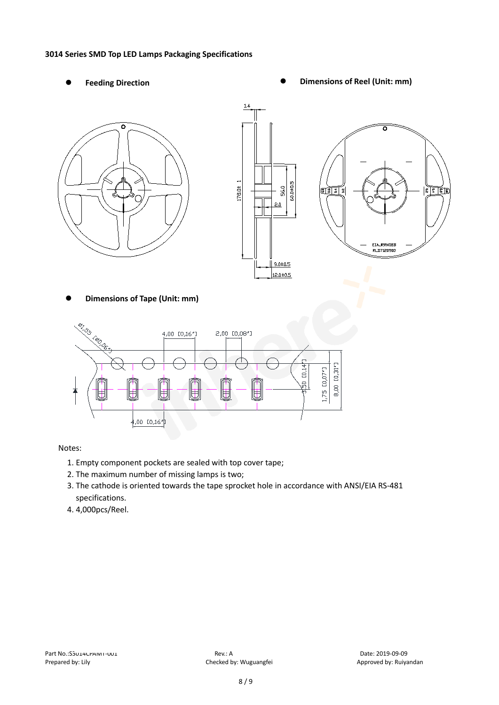#### **3014 Series SMD Top LED Lamps Packaging Specifications**

- 
- Feeding Direction **Constanting Constanting Constanting Constanting Constanting Constanting Constanting Constanting Constanting Constanting Constanting Constanting Constanting Constanting Constanting Constanting Constanting**





**Dimensions of Tape (Unit: mm)**



Notes:

- 1. Empty component pockets are sealed with top cover tape;
- 2. The maximum number of missing lamps is two;
- 3. The cathode is oriented towards the tape sprocket hole in accordance with ANSI/EIA RS-481 specifications.
- 4. 4,000pcs/Reel.